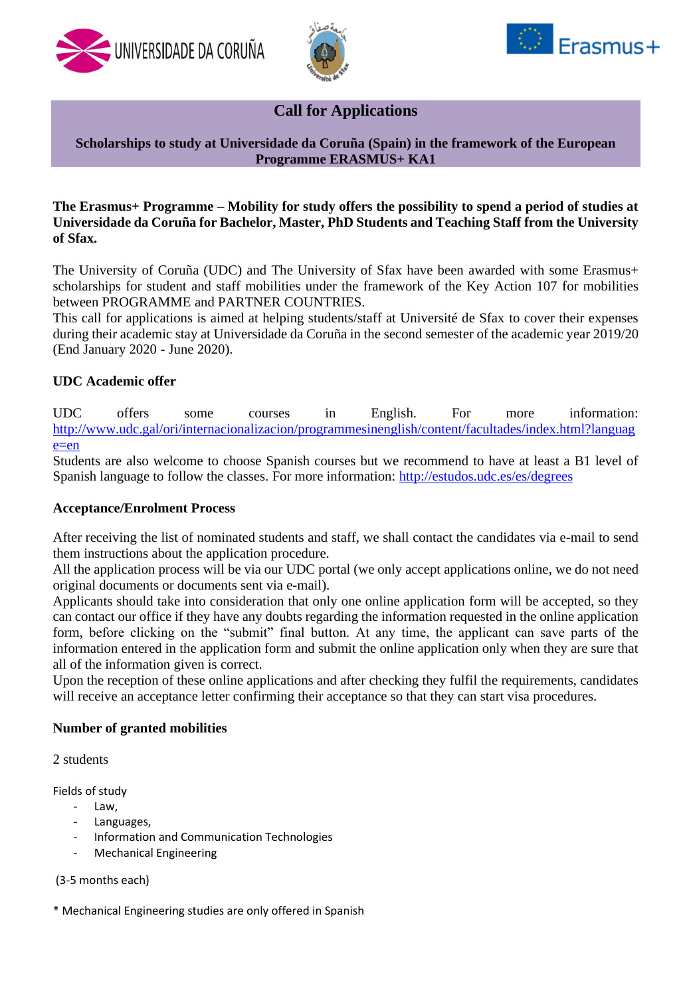





# **Call for Applications**

## **Scholarships to study at Universidade da Coruña (Spain) in the framework of the European Programme ERASMUS+ KA1**

## **The Erasmus+ Programme – Mobility for study offers the possibility to spend a period of studies at Universidade da Coruña for Bachelor, Master, PhD Students and Teaching Staff from the University of Sfax.**

The University of Coruña (UDC) and The University of Sfax have been awarded with some Erasmus+ scholarships for student and staff mobilities under the framework of the Key Action 107 for mobilities between PROGRAMME and PARTNER COUNTRIES.

This call for applications is aimed at helping students/staff at Université de Sfax to cover their expenses during their academic stay at Universidade da Coruña in the second semester of the academic year 2019/20 (End January 2020 - June 2020).

## **UDC Academic offer**

UDC offers some courses in English. For more information: [http://www.udc.gal/ori/internacionalizacion/programmesinenglish/content/facultades/index.html?languag](http://www.udc.gal/ori/internacionalizacion/programmesinenglish/content/facultades/index.html?language=en) [e=en](http://www.udc.gal/ori/internacionalizacion/programmesinenglish/content/facultades/index.html?language=en)

Students are also welcome to choose Spanish courses but we recommend to have at least a B1 level of Spanish language to follow the classes. For more information:<http://estudos.udc.es/es/degrees>

### **Acceptance/Enrolment Process**

After receiving the list of nominated students and staff, we shall contact the candidates via e-mail to send them instructions about the application procedure.

All the application process will be via our UDC portal (we only accept applications online, we do not need original documents or documents sent via e-mail).

Applicants should take into consideration that only one online application form will be accepted, so they can contact our office if they have any doubts regarding the information requested in the online application form, before clicking on the "submit" final button. At any time, the applicant can save parts of the information entered in the application form and submit the online application only when they are sure that all of the information given is correct.

Upon the reception of these online applications and after checking they fulfil the requirements, candidates will receive an acceptance letter confirming their acceptance so that they can start visa procedures.

### **Number of granted mobilities**

2 students

Fields of study

- Law,
- Languages,
- Information and Communication Technologies
- Mechanical Engineering

(3-5 months each)

\* Mechanical Engineering studies are only offered in Spanish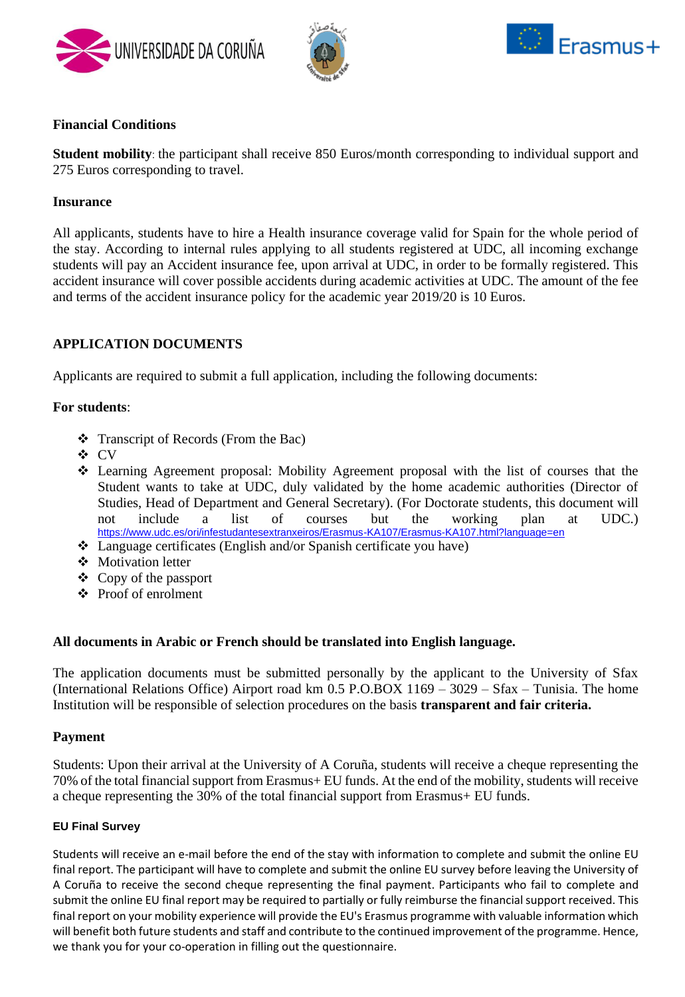





# **Financial Conditions**

**Student mobility**: the participant shall receive 850 Euros/month corresponding to individual support and 275 Euros corresponding to travel.

### **Insurance**

All applicants, students have to hire a Health insurance coverage valid for Spain for the whole period of the stay. According to internal rules applying to all students registered at UDC, all incoming exchange students will pay an Accident insurance fee, upon arrival at UDC, in order to be formally registered. This accident insurance will cover possible accidents during academic activities at UDC. The amount of the fee and terms of the accident insurance policy for the academic year 2019/20 is 10 Euros.

# **APPLICATION DOCUMENTS**

Applicants are required to submit a full application, including the following documents:

## **For students**:

- ❖ Transcript of Records (From the Bac)
- ❖ CV
- ❖ Learning Agreement proposal: Mobility Agreement proposal with the list of courses that the Student wants to take at UDC, duly validated by the home academic authorities (Director of Studies, Head of Department and General Secretary). (For Doctorate students, this document will not include a list of courses but the working plan at UDC.) <https://www.udc.es/ori/infestudantesextranxeiros/Erasmus-KA107/Erasmus-KA107.html?language=en>
- ❖ Language certificates (English and/or Spanish certificate you have)
- ❖ Motivation letter
- ❖ Copy of the passport
- ❖ Proof of enrolment

# **All documents in Arabic or French should be translated into English language.**

The application documents must be submitted personally by the applicant to the University of Sfax (International Relations Office) Airport road km 0.5 P.O.BOX 1169 – 3029 – Sfax – Tunisia. The home Institution will be responsible of selection procedures on the basis **transparent and fair criteria.**

### **Payment**

Students: Upon their arrival at the University of A Coruña, students will receive a cheque representing the 70% of the total financial support from Erasmus+ EU funds. At the end of the mobility, students will receive a cheque representing the 30% of the total financial support from Erasmus+ EU funds.

### **EU Final Survey**

Students will receive an e-mail before the end of the stay with information to complete and submit the online EU final report. The participant will have to complete and submit the online EU survey before leaving the University of A Coruña to receive the second cheque representing the final payment. Participants who fail to complete and submit the online EU final report may be required to partially or fully reimburse the financial support received. This final report on your mobility experience will provide the EU's Erasmus programme with valuable information which will benefit both future students and staff and contribute to the continued improvement of the programme. Hence, we thank you for your co-operation in filling out the questionnaire.